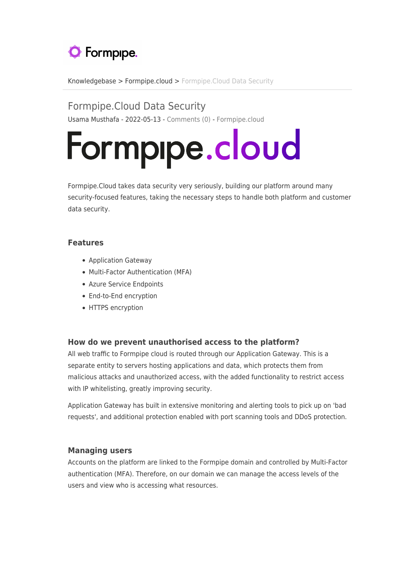

[Knowledgebase](https://support.formpipe.com/kb) > [Formpipe.cloud](https://support.formpipe.com/kb/formpipe-cloud) > [Formpipe.Cloud Data Security](https://support.formpipe.com/kb/articles/formpipe-cloud-data-security)

Formpipe.Cloud Data Security Usama Musthafa - 2022-05-13 - [Comments \(0\)](#page--1-0) - [Formpipe.cloud](https://support.formpipe.com/kb/formpipe-cloud)

# Formpipe.cloud

Formpipe.Cloud takes data security very seriously, building our platform around many security-focused features, taking the necessary steps to handle both platform and customer data security.

## **Features**

- Application Gateway
- Multi-Factor Authentication (MFA)
- Azure Service Endpoints
- End-to-End encryption
- HTTPS encryption

### **How do we prevent unauthorised access to the platform?**

All web traffic to Formpipe cloud is routed through our Application Gateway. This is a separate entity to servers hosting applications and data, which protects them from malicious attacks and unauthorized access, with the added functionality to restrict access with IP whitelisting, greatly improving security.

Application Gateway has built in extensive monitoring and alerting tools to pick up on 'bad requests', and additional protection enabled with port scanning tools and DDoS protection.

### **Managing users**

Accounts on the platform are linked to the Formpipe domain and controlled by Multi-Factor authentication (MFA). Therefore, on our domain we can manage the access levels of the users and view who is accessing what resources.